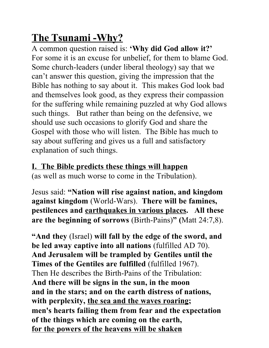# **The Tsunami -Why?**

A common question raised is: **'Why did God allow it?'** For some it is an excuse for unbelief, for them to blame God. Some church-leaders (under liberal theology) say that we can't answer this question, giving the impression that the Bible has nothing to say about it. This makes God look bad and themselves look good, as they express their compassion for the suffering while remaining puzzled at why God allows such things. But rather than being on the defensive, we should use such occasions to glorify God and share the Gospel with those who will listen. The Bible has much to say about suffering and gives us a full and satisfactory explanation of such things.

# **I. The Bible predicts these things will happen**

(as well as much worse to come in the Tribulation).

Jesus said: **"Nation will rise against nation, and kingdom against kingdom** (World-Wars). **There will be famines, pestilences and earthquakes in various places. All these are the beginning of sorrows** (Birth-Pains)**" (**Matt 24:7,8).

**"And they** (Israel) **will fall by the edge of the sword, and be led away captive into all nations** (fulfilled AD 70). **And Jerusalem will be trampled by Gentiles until the Times of the Gentiles are fulfilled** (fulfilled 1967). Then He describes the Birth-Pains of the Tribulation: **And there will be signs in the sun, in the moon and in the stars; and on the earth distress of nations, with perplexity, the sea and the waves roaring; men's hearts failing them from fear and the expectation of the things which are coming on the earth, for the powers of the heavens will be shaken**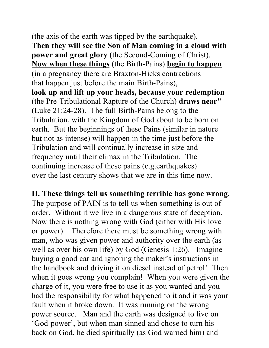(the axis of the earth was tipped by the earthquake). **Then they will see the Son of Man coming in a cloud with power and great glory** (the Second-Coming of Christ). **Now when these things** (the Birth-Pains) **begin to happen** (in a pregnancy there are Braxton-Hicks contractions that happen just before the main Birth-Pains), **look up and lift up your heads, because your redemption**  (the Pre-Tribulational Rapture of the Church) **draws near" (**Luke 21:24-28). The full Birth-Pains belong to the Tribulation, with the Kingdom of God about to be born on earth. But the beginnings of these Pains (similar in nature but not as intense) will happen in the time just before the Tribulation and will continually increase in size and frequency until their climax in the Tribulation. The continuing increase of these pains (e.g.earthquakes) over the last century shows that we are in this time now.

# **II. These things tell us something terrible has gone wrong.**

The purpose of PAIN is to tell us when something is out of order. Without it we live in a dangerous state of deception. Now there is nothing wrong with God (either with His love or power). Therefore there must be something wrong with man, who was given power and authority over the earth (as well as over his own life) by God (Genesis 1:26). Imagine buying a good car and ignoring the maker's instructions in the handbook and driving it on diesel instead of petrol! Then when it goes wrong you complain! When you were given the charge of it, you were free to use it as you wanted and you had the responsibility for what happened to it and it was your fault when it broke down. It was running on the wrong power source. Man and the earth was designed to live on 'God-power', but when man sinned and chose to turn his back on God, he died spiritually (as God warned him) and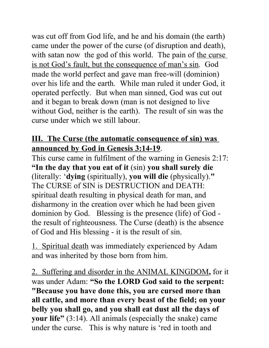was cut off from God life, and he and his domain (the earth) came under the power of the curse (of disruption and death), with satan now the god of this world. The pain of the curse is not God's fault, but the consequence of man's sin. God made the world perfect and gave man free-will (dominion) over his life and the earth. While man ruled it under God, it operated perfectly. But when man sinned, God was cut out and it began to break down (man is not designed to live without God, neither is the earth). The result of sin was the curse under which we still labour.

# **III. The Curse (the automatic consequence of sin) was announced by God in Genesis 3:14-19**.

This curse came in fulfilment of the warning in Genesis 2:17: **"In the day that you eat of it** (sin) **you shall surely die**  (literally: '**dying** (spiritually), **you will die** (physically).**"**  The CURSE of SIN is DESTRUCTION and DEATH: spiritual death resulting in physical death for man, and disharmony in the creation over which he had been given dominion by God. Blessing is the presence (life) of God the result of righteousness. The Curse (death) is the absence of God and His blessing - it is the result of sin.

1. Spiritual death was immediately experienced by Adam and was inherited by those born from him.

2. Suffering and disorder in the ANIMAL KINGDOM**,** for it was under Adam: **"So the LORD God said to the serpent: "Because you have done this, you are cursed more than all cattle, and more than every beast of the field; on your belly you shall go, and you shall eat dust all the days of your life"** (3:14). All animals (especially the snake) came under the curse. This is why nature is 'red in tooth and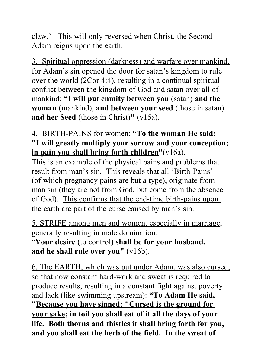claw.' This will only reversed when Christ, the Second Adam reigns upon the earth.

3. Spiritual oppression (darkness) and warfare over mankind, for Adam's sin opened the door for satan's kingdom to rule over the world (2Cor 4:4), resulting in a continual spiritual conflict between the kingdom of God and satan over all of mankind: **"I will put enmity between you** (satan) **and the woman** (mankind), **and between your seed** (those in satan) **and her Seed** (those in Christ)**"** (v15a).

## 4. BIRTH-PAINS for women: **"To the woman He said: "I will greatly multiply your sorrow and your conception; in pain you shall bring forth children"**(v16a).

This is an example of the physical pains and problems that result from man's sin. This reveals that all 'Birth-Pains' (of which pregnancy pains are but a type), originate from man sin (they are not from God, but come from the absence of God). This confirms that the end-time birth-pains upon the earth are part of the curse caused by man's sin.

5. STRIFE among men and women, especially in marriage, generally resulting in male domination.

"**Your desire** (to control) **shall be for your husband, and he shall rule over you"** (v16b).

6. The EARTH, which was put under Adam, was also cursed, so that now constant hard-work and sweat is required to produce results, resulting in a constant fight against poverty and lack (like swimming upstream): **"To Adam He said, "Because you have sinned: "Cursed is the ground for your sake; in toil you shall eat of it all the days of your life. Both thorns and thistles it shall bring forth for you, and you shall eat the herb of the field. In the sweat of**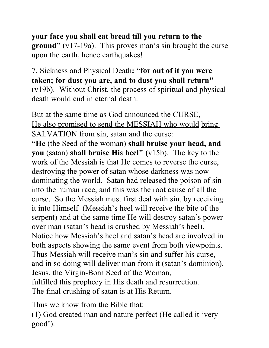#### **your face you shall eat bread till you return to the ground"** (v17-19a). This proves man's sin brought the curse upon the earth, hence earthquakes!

7. Sickness and Physical Death**: "for out of it you were taken; for dust you are, and to dust you shall return"**  (v19b). Without Christ, the process of spiritual and physical death would end in eternal death.

But at the same time as God announced the CURSE, He also promised to send the MESSIAH who would bring SALVATION from sin, satan and the curse:

**"He** (the Seed of the woman) **shall bruise your head, and you** (satan) **shall bruise His heel" (**v15b).The key to the work of the Messiah is that He comes to reverse the curse, destroying the power of satan whose darkness was now dominating the world. Satan had released the poison of sin into the human race, and this was the root cause of all the curse. So the Messiah must first deal with sin, by receiving it into Himself (Messiah's heel will receive the bite of the serpent) and at the same time He will destroy satan's power over man (satan's head is crushed by Messiah's heel). Notice how Messiah's heel and satan's head are involved in both aspects showing the same event from both viewpoints. Thus Messiah will receive man's sin and suffer his curse, and in so doing will deliver man from it (satan's dominion). Jesus, the Virgin-Born Seed of the Woman, fulfilled this prophecy in His death and resurrection. The final crushing of satan is at His Return.

Thus we know from the Bible that:

(1) God created man and nature perfect (He called it 'very good').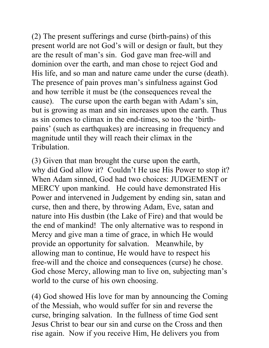(2) The present sufferings and curse (birth-pains) of this present world are not God's will or design or fault, but they are the result of man's sin.God gave man free-will and dominion over the earth, and man chose to reject God and His life, and so man and nature came under the curse (death). The presence of pain proves man's sinfulness against God and how terrible it must be (the consequences reveal the cause). The curse upon the earth began with Adam's sin, but is growing as man and sin increases upon the earth. Thus as sin comes to climax in the end-times, so too the 'birthpains' (such as earthquakes) are increasing in frequency and magnitude until they will reach their climax in the Tribulation.

(3) Given that man brought the curse upon the earth, why did God allow it? Couldn't He use His Power to stop it? When Adam sinned, God had two choices: JUDGEMENT or MERCY upon mankind. He could have demonstrated His Power and intervened in Judgement by ending sin, satan and curse, then and there, by throwing Adam, Eve, satan and nature into His dustbin (the Lake of Fire) and that would be the end of mankind! The only alternative was to respond in Mercy and give man a time of grace, in which He would provide an opportunity for salvation. Meanwhile, by allowing man to continue, He would have to respect his free-will and the choice and consequences (curse) he chose. God chose Mercy, allowing man to live on, subjecting man's world to the curse of his own choosing.

(4) God showed His love for man by announcing the Coming of the Messiah, who would suffer for sin and reverse the curse, bringing salvation. In the fullness of time God sent Jesus Christ to bear our sin and curse on the Cross and then rise again. Now if you receive Him, He delivers you from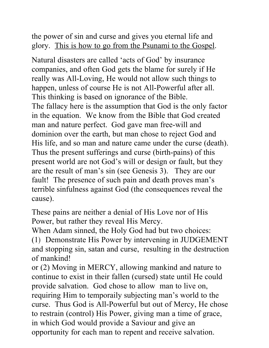the power of sin and curse and gives you eternal life and glory. This is how to go from the Psunami to the Gospel.

Natural disasters are called 'acts of God' by insurance companies, and often God gets the blame for surely if He really was All-Loving, He would not allow such things to happen, unless of course He is not All-Powerful after all. This thinking is based on ignorance of the Bible. The fallacy here is the assumption that God is the only factor in the equation. We know from the Bible that God created man and nature perfect.God gave man free-will and dominion over the earth, but man chose to reject God and His life, and so man and nature came under the curse (death). Thus the present sufferings and curse (birth-pains) of this present world are not God's will or design or fault, but they are the result of man's sin (see Genesis 3). They are our fault! The presence of such pain and death proves man's terrible sinfulness against God (the consequences reveal the cause).

These pains are neither a denial of His Love nor of His Power, but rather they reveal His Mercy.

When Adam sinned, the Holy God had but two choices:

(1) Demonstrate His Power by intervening in JUDGEMENT and stopping sin, satan and curse, resulting in the destruction of mankind!

or (2) Moving in MERCY, allowing mankind and nature to continue to exist in their fallen (cursed) state until He could provide salvation. God chose to allow man to live on, requiring Him to temporaily subjecting man's world to the curse. Thus God is All-Powerful but out of Mercy, He chose to restrain (control) His Power, giving man a time of grace, in which God would provide a Saviour and give an opportunity for each man to repent and receive salvation.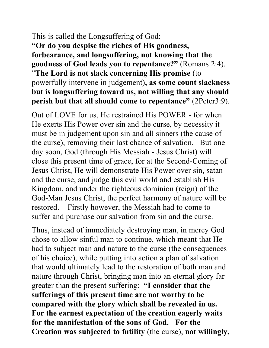# This is called the Longsuffering of God:

**"Or do you despise the riches of His goodness, forbearance, and longsuffering, not knowing that the goodness of God leads you to repentance?"** (Romans 2:4). "**The Lord is not slack concerning His promise** (to powerfully intervene in judgement)**, as some count slackness but is longsuffering toward us, not willing that any should perish but that all should come to repentance"** (2Peter3:9).

Out of LOVE for us, He restrained His POWER - for when He exerts His Power over sin and the curse, by necessity it must be in judgement upon sin and all sinners (the cause of the curse), removing their last chance of salvation. But one day soon, God (through His Messiah - Jesus Christ) will close this present time of grace, for at the Second-Coming of Jesus Christ, He will demonstrate His Power over sin, satan and the curse, and judge this evil world and establish His Kingdom, and under the righteous dominion (reign) of the God-Man Jesus Christ, the perfect harmony of nature will be restored. Firstly however, the Messiah had to come to suffer and purchase our salvation from sin and the curse.

Thus, instead of immediately destroying man, in mercy God chose to allow sinful man to continue, which meant that He had to subject man and nature to the curse (the consequences of his choice), while putting into action a plan of salvation that would ultimately lead to the restoration of both man and nature through Christ, bringing man into an eternal glory far greater than the present suffering: **"I consider that the sufferings of this present time are not worthy to be compared with the glory which shall be revealed in us. For the earnest expectation of the creation eagerly waits for the manifestation of the sons of God. For the Creation was subjected to futility** (the curse), **not willingly,**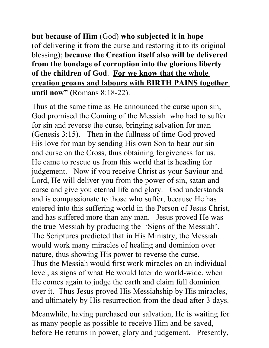**but because of Him** (God) **who subjected it in hope**  (of delivering it from the curse and restoring it to its original blessing); **because the Creation itself also will be delivered from the bondage of corruption into the glorious liberty of the children of God**. **For we know that the whole creation groans and labours with BIRTH PAINS together until now" (**Romans 8:18-22).

Thus at the same time as He announced the curse upon sin, God promised the Coming of the Messiah who had to suffer for sin and reverse the curse, bringing salvation for man (Genesis 3:15). Then in the fullness of time God proved His love for man by sending His own Son to bear our sin and curse on the Cross, thus obtaining forgiveness for us. He came to rescue us from this world that is heading for judgement. Now if you receive Christ as your Saviour and Lord, He will deliver you from the power of sin, satan and curse and give you eternal life and glory. God understands and is compassionate to those who suffer, because He has entered into this suffering world in the Person of Jesus Christ, and has suffered more than any man. Jesus proved He was the true Messiah by producing the 'Signs of the Messiah'. The Scriptures predicted that in His Ministry, the Messiah would work many miracles of healing and dominion over nature, thus showing His power to reverse the curse. Thus the Messiah would first work miracles on an individual level, as signs of what He would later do world-wide, when He comes again to judge the earth and claim full dominion over it. Thus Jesus proved His Messiahship by His miracles, and ultimately by His resurrection from the dead after 3 days.

Meanwhile, having purchased our salvation, He is waiting for as many people as possible to receive Him and be saved, before He returns in power, glory and judgement. Presently,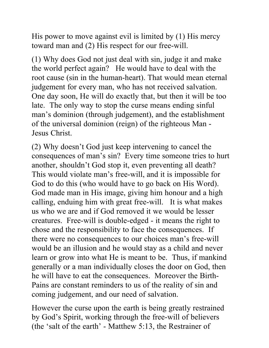His power to move against evil is limited by (1) His mercy toward man and (2) His respect for our free-will.

(1) Why does God not just deal with sin, judge it and make the world perfect again? He would have to deal with the root cause (sin in the human-heart). That would mean eternal judgement for every man, who has not received salvation. One day soon, He will do exactly that, but then it will be too late. The only way to stop the curse means ending sinful man's dominion (through judgement), and the establishment of the universal dominion (reign) of the righteous Man - Jesus Christ.

(2) Why doesn't God just keep intervening to cancel the consequences of man's sin? Every time someone tries to hurt another, shouldn't God stop it, even preventing all death? This would violate man's free-will, and it is impossible for God to do this (who would have to go back on His Word). God made man in His image, giving him honour and a high calling, enduing him with great free-will. It is what makes us who we are and if God removed it we would be lesser creatures. Free-will is double-edged - it means the right to chose and the responsibility to face the consequences. If there were no consequences to our choices man's free-will would be an illusion and he would stay as a child and never learn or grow into what He is meant to be. Thus, if mankind generally or a man individually closes the door on God, then he will have to eat the consequences. Moreover the Birth-Pains are constant reminders to us of the reality of sin and coming judgement, and our need of salvation.

However the curse upon the earth is being greatly restrained by God's Spirit, working through the free-will of believers (the 'salt of the earth' - Matthew 5:13, the Restrainer of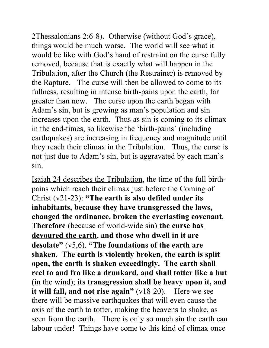2Thessalonians 2:6-8). Otherwise (without God's grace), things would be much worse. The world will see what it would be like with God's hand of restraint on the curse fully removed, because that is exactly what will happen in the Tribulation, after the Church (the Restrainer) is removed by the Rapture. The curse will then be allowed to come to its fullness, resulting in intense birth-pains upon the earth, far greater than now. The curse upon the earth began with Adam's sin, but is growing as man's population and sin increases upon the earth. Thus as sin is coming to its climax in the end-times, so likewise the 'birth-pains' (including earthquakes) are increasing in frequency and magnitude until they reach their climax in the Tribulation. Thus, the curse is not just due to Adam's sin, but is aggravated by each man's sin.

Isaiah 24 describes the Tribulation, the time of the full birthpains which reach their climax just before the Coming of Christ (v21-23): **"The earth is also defiled under its inhabitants, because they have transgressed the laws, changed the ordinance, broken the everlasting covenant. Therefore** (because of world-wide sin) **the curse has devoured the earth, and those who dwell in it are desolate"** (v5,6). **"The foundations of the earth are shaken. The earth is violently broken, the earth is split open, the earth is shaken exceedingly. The earth shall reel to and fro like a drunkard, and shall totter like a hut** (in the wind); **its transgression shall be heavy upon it, and it will fall, and not rise again"** (v18-20). Here we see there will be massive earthquakes that will even cause the axis of the earth to totter, making the heavens to shake, as seen from the earth. There is only so much sin the earth can labour under! Things have come to this kind of climax once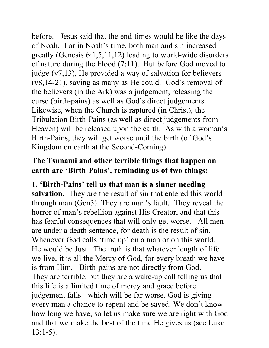before. Jesus said that the end-times would be like the days of Noah. For in Noah's time, both man and sin increased greatly (Genesis 6:1,5,11,12) leading to world-wide disorders of nature during the Flood (7:11). But before God moved to judge (v7,13), He provided a way of salvation for believers (v8,14-21), saving as many as He could. God's removal of the believers (in the Ark) was a judgement, releasing the curse (birth-pains) as well as God's direct judgements. Likewise, when the Church is raptured (in Christ), the Tribulation Birth-Pains (as well as direct judgements from Heaven) will be released upon the earth. As with a woman's Birth-Pains, they will get worse until the birth (of God's Kingdom on earth at the Second-Coming).

## **The Tsunami and other terrible things that happen on earth are 'Birth-Pains', reminding us of two things:**

## **1. 'Birth-Pains' tell us that man is a sinner needing**

**salvation.** They are the result of sin that entered this world through man (Gen3). They are man's fault. They reveal the horror of man's rebellion against His Creator, and that this has fearful consequences that will only get worse. All men are under a death sentence, for death is the result of sin. Whenever God calls 'time up' on a man or on this world, He would be Just. The truth is that whatever length of life we live, it is all the Mercy of God, for every breath we have is from Him. Birth-pains are not directly from God. They are terrible, but they are a wake-up call telling us that this life is a limited time of mercy and grace before judgement falls - which will be far worse. God is giving every man a chance to repent and be saved. We don't know how long we have, so let us make sure we are right with God and that we make the best of the time He gives us (see Luke 13:1-5).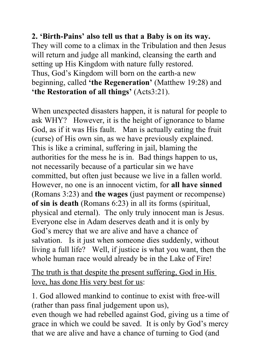## **2. 'Birth-Pains' also tell us that a Baby is on its way.**

They will come to a climax in the Tribulation and then Jesus will return and judge all mankind, cleansing the earth and setting up His Kingdom with nature fully restored. Thus, God's Kingdom will born on the earth-a new beginning, called **'the Regeneration'** (Matthew 19:28) and **'the Restoration of all things'** (Acts3:21).

When unexpected disasters happen, it is natural for people to ask WHY? However, it is the height of ignorance to blame God, as if it was His fault. Man is actually eating the fruit (curse) of His own sin, as we have previously explained. This is like a criminal, suffering in jail, blaming the authorities for the mess he is in. Bad things happen to us, not necessarily because of a particular sin we have committed, but often just because we live in a fallen world. However, no one is an innocent victim, for **all have sinned** (Romans 3:23) and **the wages** (just payment or recompense) **of sin is death** (Romans 6:23) in all its forms (spiritual, physical and eternal). The only truly innocent man is Jesus. Everyone else in Adam deserves death and it is only by God's mercy that we are alive and have a chance of salvation. Is it just when someone dies suddenly, without living a full life? Well, if justice is what you want, then the whole human race would already be in the Lake of Fire!

The truth is that despite the present suffering, God in His love, has done His very best for us:

1. God allowed mankind to continue to exist with free-will (rather than pass final judgement upon us), even though we had rebelled against God, giving us a time of grace in which we could be saved. It is only by God's mercy

that we are alive and have a chance of turning to God (and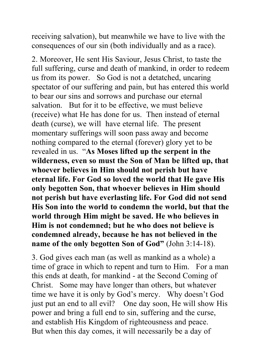receiving salvation), but meanwhile we have to live with the consequences of our sin (both individually and as a race).

2. Moreover, He sent His Saviour, Jesus Christ, to taste the full suffering, curse and death of mankind, in order to redeem us from its power. So God is not a detatched, uncaring spectator of our suffering and pain, but has entered this world to bear our sins and sorrows and purchase our eternal salvation. But for it to be effective, we must believe (receive) what He has done for us. Then instead of eternal death (curse), we will have eternal life. The present momentary sufferings will soon pass away and become nothing compared to the eternal (forever) glory yet to be revealed in us. "**As Moses lifted up the serpent in the wilderness, even so must the Son of Man be lifted up, that whoever believes in Him should not perish but have eternal life. For God so loved the world that He gave His only begotten Son, that whoever believes in Him should not perish but have everlasting life. For God did not send His Son into the world to condemn the world, but that the world through Him might be saved. He who believes in Him is not condemned; but he who does not believe is condemned already, because he has not believed in the name of the only begotten Son of God"** (John 3:14-18).

3. God gives each man (as well as mankind as a whole) a time of grace in which to repent and turn to Him. For a man this ends at death, for mankind - at the Second Coming of Christ. Some may have longer than others, but whatever time we have it is only by God's mercy. Why doesn't God just put an end to all evil? One day soon, He will show His power and bring a full end to sin, suffering and the curse, and establish His Kingdom of righteousness and peace. But when this day comes, it will necessarily be a day of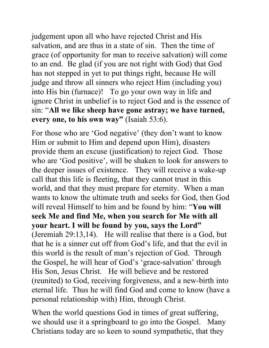judgement upon all who have rejected Christ and His salvation, and are thus in a state of sin. Then the time of grace (of opportunity for man to receive salvation) will come to an end. Be glad (if you are not right with God) that God has not stepped in yet to put things right, because He will judge and throw all sinners who reject Him (including you) into His bin (furnace)! To go your own way in life and ignore Christ in unbelief is to reject God and is the essence of sin: "**All we like sheep have gone astray; we have turned, every one, to his own way"** (Isaiah 53:6).

For those who are 'God negative' (they don't want to know Him or submit to Him and depend upon Him), disasters provide them an excuse (justification) to reject God. Those who are 'God positive', will be shaken to look for answers to the deeper issues of existence. They will receive a wake-up call that this life is fleeting, that they cannot trust in this world, and that they must prepare for eternity. When a man wants to know the ultimate truth and seeks for God, then God will reveal Himself to him and be found by him: "**You will seek Me and find Me, when you search for Me with all your heart. I will be found by you, says the Lord"** (Jeremiah 29:13,14). He will realise that there is a God, but that he is a sinner cut off from God's life, and that the evil in this world is the result of man's rejection of God. Through the Gospel, he will hear of God's 'grace-salvation' through His Son, Jesus Christ. He will believe and be restored (reunited) to God, receiving forgiveness, and a new-birth into eternal life. Thus he will find God and come to know (have a personal relationship with) Him, through Christ.

When the world questions God in times of great suffering, we should use it a springboard to go into the Gospel. Many Christians today are so keen to sound sympathetic, that they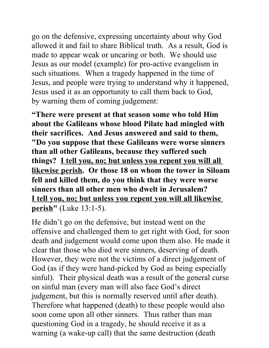go on the defensive, expressing uncertainty about why God allowed it and fail to share Biblical truth. As a result, God is made to appear weak or uncaring or both. We should use Jesus as our model (example) for pro-active evangelism in such situations. When a tragedy happened in the time of Jesus, and people were trying to understand why it happened, Jesus used it as an opportunity to call them back to God, by warning them of coming judgement:

**"There were present at that season some who told Him about the Galileans whose blood Pilate had mingled with their sacrifices. And Jesus answered and said to them, "Do you suppose that these Galileans were worse sinners than all other Galileans, because they suffered such things? I tell you, no; but unless you repent you will all likewise perish. Or those 18 on whom the tower in Siloam fell and killed them, do you think that they were worse sinners than all other men who dwelt in Jerusalem? I tell you, no; but unless you repent you will all likewise perish"** (Luke 13:1-5).

He didn't go on the defensive, but instead went on the offensive and challenged them to get right with God, for soon death and judgement would come upon them also. He made it clear that those who died were sinners, deserving of death. However, they were not the victims of a direct judgement of God (as if they were hand-picked by God as being especially sinful). Their physical death was a result of the general curse on sinful man (every man will also face God's direct judgement, but this is normally reserved until after death). Therefore what happened (death) to these people would also soon come upon all other sinners. Thus rather than man questioning God in a tragedy, he should receive it as a warning (a wake-up call) that the same destruction (death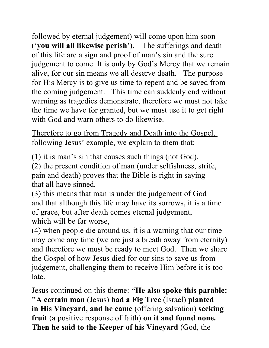followed by eternal judgement) will come upon him soon ('**you will all likewise perish')**.The sufferings and death of this life are a sign and proof of man's sin and the sure judgement to come. It is only by God's Mercy that we remain alive, for our sin means we all deserve death. The purpose for His Mercy is to give us time to repent and be saved from the coming judgement. This time can suddenly end without warning as tragedies demonstrate, therefore we must not take the time we have for granted, but we must use it to get right with God and warn others to do likewise.

Therefore to go from Tragedy and Death into the Gospel, following Jesus' example, we explain to them that:

(1) it is man's sin that causes such things (not God),

(2) the present condition of man (under selfishness, strife, pain and death) proves that the Bible is right in saying that all have sinned,

(3) this means that man is under the judgement of God and that although this life may have its sorrows, it is a time of grace, but after death comes eternal judgement, which will be far worse,

(4) when people die around us, it is a warning that our time may come any time (we are just a breath away from eternity) and therefore we must be ready to meet God. Then we share the Gospel of how Jesus died for our sins to save us from judgement, challenging them to receive Him before it is too late.

Jesus continued on this theme: **"He also spoke this parable: "A certain man** (Jesus) **had a Fig Tree** (Israel) **planted in His Vineyard, and he came** (offering salvation) **seeking fruit** (a positive response of faith) **on it and found none. Then he said to the Keeper of his Vineyard** (God, the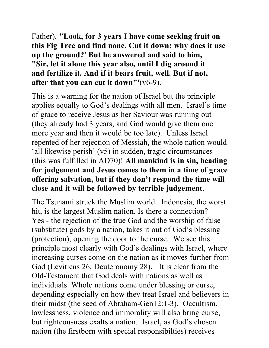Father), **"Look, for 3 years I have come seeking fruit on this Fig Tree and find none. Cut it down; why does it use up the ground?' But he answered and said to him, "Sir, let it alone this year also, until I dig around it and fertilize it. And if it bears fruit, well. But if not, after that you can cut it down"'**(v6-9).

This is a warning for the nation of Israel but the principle applies equally to God's dealings with all men. Israel's time of grace to receive Jesus as her Saviour was running out (they already had 3 years, and God would give them one more year and then it would be too late). Unless Israel repented of her rejection of Messiah, the whole nation would 'all likewise perish' (v5) in sudden, tragic circumstances (this was fulfilled in AD70)! **All mankind is in sin, heading for judgement and Jesus comes to them in a time of grace offering salvation, but if they don't respond the time will close and it will be followed by terrible judgement**.

The Tsunami struck the Muslim world. Indonesia, the worst hit, is the largest Muslim nation. Is there a connection? Yes - the rejection of the true God and the worship of false (substitute) gods by a nation, takes it out of God's blessing (protection), opening the door to the curse. We see this principle most clearly with God's dealings with Israel, where increasing curses come on the nation as it moves further from God (Leviticus 26, Deuteronomy 28). It is clear from the Old-Testament that God deals with nations as well as individuals. Whole nations come under blessing or curse, depending especially on how they treat Israel and believers in their midst (the seed of Abraham-Gen12:1-3). Occultism, lawlessness, violence and immorality will also bring curse, but righteousness exalts a nation. Israel, as God's chosen nation (the firstborn with special responsibilties) receives